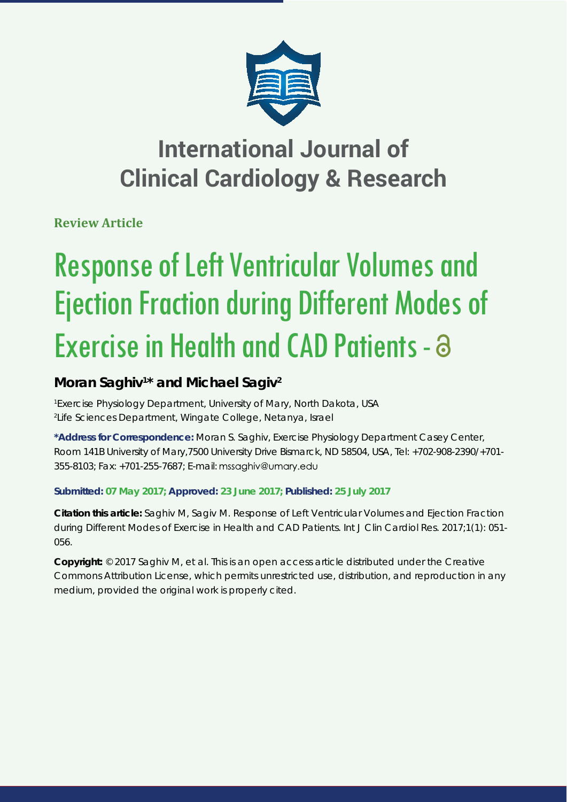

# **International Journal of Clinical Cardiology & Research**

**Review Article**

# Response of Left Ventricular Volumes and Ejection Fraction during Different Modes of Exercise in Health and CAD Patients -  $\partial$

## Moran Saghiv<sup>1\*</sup> and Michael Sagiv<sup>2</sup>

*1 Exercise Physiology Department, University of Mary, North Dakota, USA 2 Life Sciences Department, Wingate College, Netanya, Israel*

**\*Address for Correspondence:** Moran S. Saghiv, Exercise Physiology Department Casey Center, Room 141B University of Mary,7500 University Drive Bismarck, ND 58504, USA, Tel: +702-908-2390/+701- 355-8103; Fax: +701-255-7687; E-mail:

### **Submitted: 07 May 2017; Approved: 23 June 2017; Published: 25 July 2017**

**Citation this article:** Saghiv M, Sagiv M. Response of Left Ventricular Volumes and Ejection Fraction during Different Modes of Exercise in Health and CAD Patients. Int J Clin Cardiol Res. 2017;1(1): 051- 056.

**Copyright:** © 2017 Saghiv M, et al. This is an open access article distributed under the Creative Commons Attribution License, which permits unrestricted use, distribution, and reproduction in any medium, provided the original work is properly cited.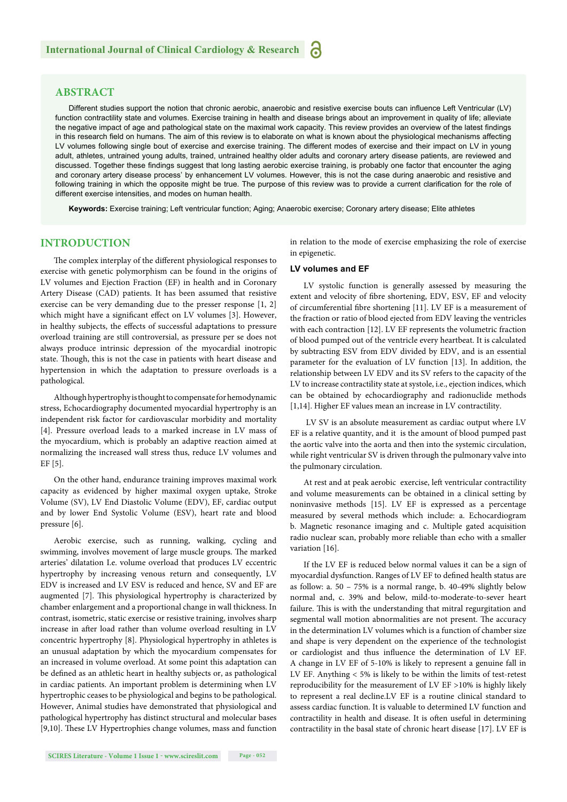#### **ABSTRACT**

Different studies support the notion that chronic aerobic, anaerobic and resistive exercise bouts can influence Left Ventricular (LV) function contractility state and volumes. Exercise training in health and disease brings about an improvement in quality of life; alleviate the negative impact of age and pathological state on the maximal work capacity. This review provides an overview of the latest findings in this research field on humans. The aim of this review is to elaborate on what is known about the physiological mechanisms affecting LV volumes following single bout of exercise and exercise training. The different modes of exercise and their impact on LV in young adult, athletes, untrained young adults, trained, untrained healthy older adults and coronary artery disease patients, are reviewed and discussed. Together these findings suggest that long lasting aerobic exercise training, is probably one factor that encounter the aging and coronary artery disease process' by enhancement LV volumes. However, this is not the case during anaerobic and resistive and following training in which the opposite might be true. The purpose of this review was to provide a current clarification for the role of different exercise intensities, and modes on human health.

**Keywords:** Exercise training; Left ventricular function; Aging; Anaerobic exercise; Coronary artery disease; Elite athletes

#### **INTRODUCTION**

The complex interplay of the different physiological responses to exercise with genetic polymorphism can be found in the origins of LV volumes and Ejection Fraction (EF) in health and in Coronary Artery Disease (CAD) patients. It has been assumed that resistive exercise can be very demanding due to the presser response [1, 2] which might have a significant effect on LV volumes [3]. However, in healthy subjects, the effects of successful adaptations to pressure overload training are still controversial, as pressure per se does not always produce intrinsic depression of the myocardial inotropic state. Though, this is not the case in patients with heart disease and hypertension in which the adaptation to pressure overloads is a pathological.

Although hypertrophy is thought to compensate for hemodynamic stress, Echocardiography documented myocardial hypertrophy is an independent risk factor for cardiovascular morbidity and mortality [4]. Pressure overload leads to a marked increase in LV mass of the myocardium, which is probably an adaptive reaction aimed at normalizing the increased wall stress thus, reduce LV volumes and EF [5].

On the other hand, endurance training improves maximal work capacity as evidenced by higher maximal oxygen uptake, Stroke Volume (SV), LV End Diastolic Volume (EDV), EF, cardiac output and by lower End Systolic Volume (ESV), heart rate and blood pressure [6].

Aerobic exercise, such as running, walking, cycling and swimming, involves movement of large muscle groups. The marked arteries' dilatation I.e. volume overload that produces LV eccentric hypertrophy by increasing venous return and consequently, LV EDV is increased and LV ESV is reduced and hence, SV and EF are augmented [7]. This physiological hypertrophy is characterized by chamber enlargement and a proportional change in wall thickness. In contrast, isometric, static exercise or resistive training, involves sharp increase in after load rather than volume overload resulting in LV concentric hypertrophy [8]. Physiological hypertrophy in athletes is an unusual adaptation by which the myocardium compensates for an increased in volume overload. At some point this adaptation can be defined as an athletic heart in healthy subjects or, as pathological in cardiac patients. An important problem is determining when LV hypertrophic ceases to be physiological and begins to be pathological. However, Animal studies have demonstrated that physiological and pathological hypertrophy has distinct structural and molecular bases [9,10]. These LV Hypertrophies change volumes, mass and function in relation to the mode of exercise emphasizing the role of exercise in epigenetic.

#### **LV volumes and EF**

LV systolic function is generally assessed by measuring the extent and velocity of fibre shortening, EDV, ESV, EF and velocity of circumferential fibre shortening [11]. LV EF is a measurement of the fraction or ratio of blood ejected from EDV leaving the ventricles with each contraction [12]. LV EF represents the volumetric fraction of blood pumped out of the ventricle every heartbeat. It is calculated by subtracting ESV from EDV divided by EDV, and is an essential parameter for the evaluation of LV function [13]. In addition, the relationship between LV EDV and its SV refers to the capacity of the LV to increase contractility state at systole, i.e., ejection indices, which can be obtained by echocardiography and radionuclide methods [1,14]. Higher EF values mean an increase in LV contractility.

 LV SV is an absolute measurement as cardiac output where LV EF is a relative quantity, and it is the amount of blood pumped past the aortic valve into the aorta and then into the systemic circulation, while right ventricular SV is driven through the pulmonary valve into the pulmonary circulation.

At rest and at peak aerobic exercise, left ventricular contractility and volume measurements can be obtained in a clinical setting by noninvasive methods [15]. LV EF is expressed as a percentage measured by several methods which include: a. Echocardiogram b. Magnetic resonance imaging and c. Multiple gated acquisition radio nuclear scan, probably more reliable than echo with a smaller variation [16].

If the LV EF is reduced below normal values it can be a sign of myocardial dysfunction. Ranges of LV EF to defined health status are as follow: a. 50 – 75% is a normal range, b. 40-49% slightly below normal and, c. 39% and below, mild-to-moderate-to-sever heart failure. This is with the understanding that mitral regurgitation and segmental wall motion abnormalities are not present. The accuracy in the determination LV volumes which is a function of chamber size and shape is very dependent on the experience of the technologist or cardiologist and thus influence the determination of LV EF. A change in LV EF of 5-10% is likely to represent a genuine fall in LV EF. Anything < 5% is likely to be within the limits of test-retest reproducibility for the measurement of LV EF >10% is highly likely to represent a real decline.LV EF is a routine clinical standard to assess cardiac function. It is valuable to determined LV function and contractility in health and disease. It is often useful in determining contractility in the basal state of chronic heart disease [17]. LV EF is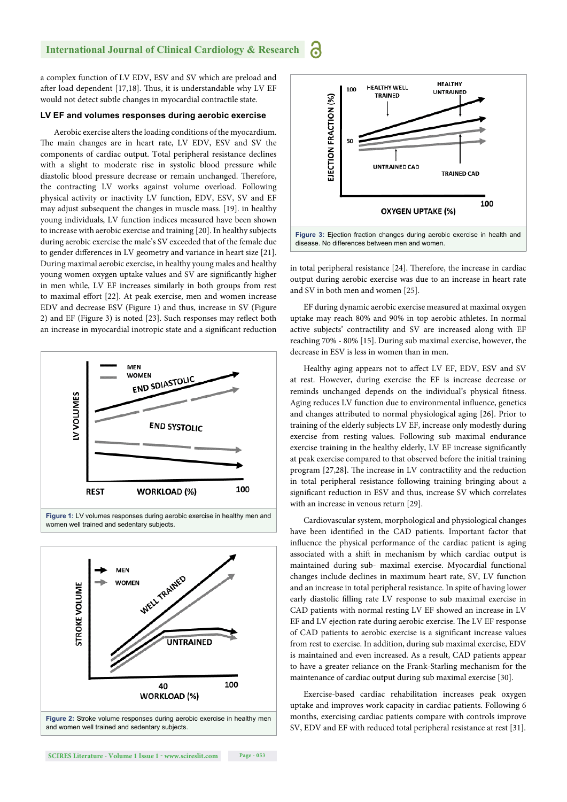#### **International Journal of Clinical Cardiology & Research** 6

a complex function of LV EDV, ESV and SV which are preload and after load dependent [17,18]. Thus, it is understandable why LV EF would not detect subtle changes in myocardial contractile state.

#### **LV EF and volumes responses during aerobic exercise**

Aerobic exercise alters the loading conditions of the myocardium. The main changes are in heart rate, LV EDV, ESV and SV the components of cardiac output. Total peripheral resistance declines with a slight to moderate rise in systolic blood pressure while diastolic blood pressure decrease or remain unchanged. Therefore, the contracting LV works against volume overload. Following physical activity or inactivity LV function, EDV, ESV, SV and EF may adjust subsequent the changes in muscle mass. [19]. in healthy young individuals, LV function indices measured have been shown to increase with aerobic exercise and training [20]. In healthy subjects during aerobic exercise the male's SV exceeded that of the female due to gender differences in LV geometry and variance in heart size [21]. During maximal aerobic exercise, in healthy young males and healthy young women oxygen uptake values and SV are significantly higher in men while, LV EF increases similarly in both groups from rest to maximal effort [22]. At peak exercise, men and women increase EDV and decrease ESV (Figure 1) and thus, increase in SV (Figure 2) and EF (Figure 3) is noted  $[23]$ . Such responses may reflect both an increase in myocardial inotropic state and a significant reduction









in total peripheral resistance [24]. Therefore, the increase in cardiac output during aerobic exercise was due to an increase in heart rate and SV in both men and women [25].

EF during dynamic aerobic exercise measured at maximal oxygen uptake may reach 80% and 90% in top aerobic athletes. In normal active subjects' contractility and SV are increased along with EF reaching 70% - 80% [15]. During sub maximal exercise, however, the decrease in ESV is less in women than in men.

Healthy aging appears not to affect LV EF, EDV, ESV and SV at rest. However, during exercise the EF is increase decrease or reminds unchanged depends on the individual's physical fitness. Aging reduces LV function due to environmental influence, genetics and changes attributed to normal physiological aging [26]. Prior to training of the elderly subjects LV EF, increase only modestly during exercise from resting values. Following sub maximal endurance exercise training in the healthy elderly, LV EF increase significantly at peak exercise compared to that observed before the initial training program [27,28]. The increase in LV contractility and the reduction in total peripheral resistance following training bringing about a significant reduction in ESV and thus, increase SV which correlates with an increase in venous return [29].

Cardiovascular system, morphological and physiological changes have been identified in the CAD patients. Important factor that influence the physical performance of the cardiac patient is aging associated with a shift in mechanism by which cardiac output is maintained during sub- maximal exercise. Myocardial functional changes include declines in maximum heart rate, SV, LV function and an increase in total peripheral resistance. In spite of having lower early diastolic filling rate LV response to sub maximal exercise in CAD patients with normal resting LV EF showed an increase in LV EF and LV ejection rate during aerobic exercise. The LV EF response of CAD patients to aerobic exercise is a significant increase values from rest to exercise. In addition, during sub maximal exercise, EDV is maintained and even increased. As a result, CAD patients appear to have a greater reliance on the Frank-Starling mechanism for the maintenance of cardiac output during sub maximal exercise [30].

Exercise-based cardiac rehabilitation increases peak oxygen uptake and improves work capacity in cardiac patients. Following 6 months, exercising cardiac patients compare with controls improve SV, EDV and EF with reduced total peripheral resistance at rest [31].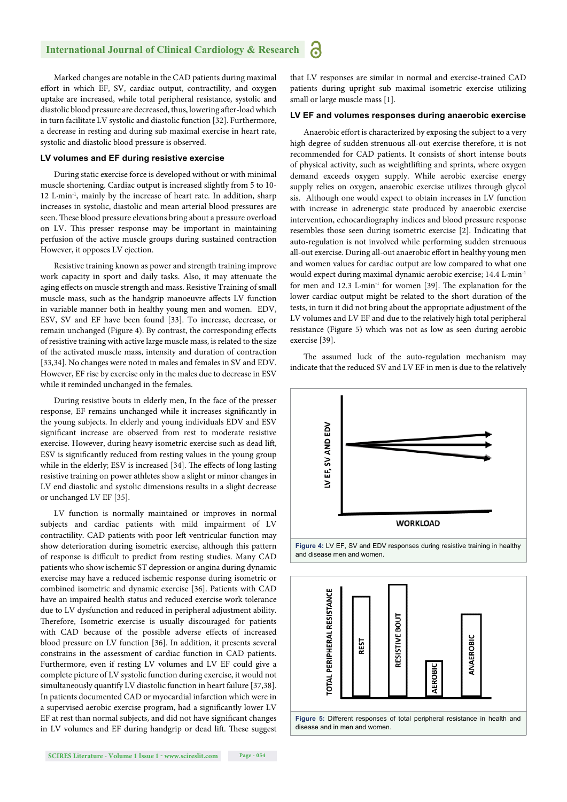Marked changes are notable in the CAD patients during maximal effort in which EF, SV, cardiac output, contractility, and oxygen uptake are increased, while total peripheral resistance, systolic and diastolic blood pressure are decreased, thus, lowering after-load which in turn facilitate LV systolic and diastolic function [32]. Furthermore, a decrease in resting and during sub maximal exercise in heart rate, systolic and diastolic blood pressure is observed.

#### **LV volumes and EF during resistive exercise**

During static exercise force is developed without or with minimal muscle shortening. Cardiac output is increased slightly from 5 to 10- 12 L∙min-1, mainly by the increase of heart rate. In addition, sharp increases in systolic, diastolic and mean arterial blood pressures are seen. These blood pressure elevations bring about a pressure overload on LV. This presser response may be important in maintaining perfusion of the active muscle groups during sustained contraction However, it opposes LV ejection.

Resistive training known as power and strength training improve work capacity in sport and daily tasks. Also, it may attenuate the aging effects on muscle strength and mass. Resistive Training of small muscle mass, such as the handgrip manoeuvre affects LV function in variable manner both in healthy young men and women. EDV, ESV, SV and EF have been found [33]. To increase, decrease, or remain unchanged (Figure 4). By contrast, the corresponding effects of resistive training with active large muscle mass, is related to the size of the activated muscle mass, intensity and duration of contraction [33,34]. No changes were noted in males and females in SV and EDV. However, EF rise by exercise only in the males due to decrease in ESV while it reminded unchanged in the females.

During resistive bouts in elderly men, In the face of the presser response, EF remains unchanged while it increases significantly in the young subjects. In elderly and young individuals EDV and ESV significant increase are observed from rest to moderate resistive exercise. However, during heavy isometric exercise such as dead lift, ESV is significantly reduced from resting values in the young group while in the elderly; ESV is increased [34]. The effects of long lasting resistive training on power athletes show a slight or minor changes in LV end diastolic and systolic dimensions results in a slight decrease or unchanged LV EF [35].

LV function is normally maintained or improves in normal subjects and cardiac patients with mild impairment of LV contractility. CAD patients with poor left ventricular function may show deterioration during isometric exercise, although this pattern of response is difficult to predict from resting studies. Many CAD patients who show ischemic ST depression or angina during dynamic exercise may have a reduced ischemic response during isometric or combined isometric and dynamic exercise [36]. Patients with CAD have an impaired health status and reduced exercise work tolerance due to LV dysfunction and reduced in peripheral adjustment ability. Therefore, Isometric exercise is usually discouraged for patients with CAD because of the possible adverse effects of increased blood pressure on LV function [36]. In addition, it presents several constrains in the assessment of cardiac function in CAD patients. Furthermore, even if resting LV volumes and LV EF could give a complete picture of LV systolic function during exercise, it would not simultaneously quantify LV diastolic function in heart failure [37,38]. In patients documented CAD or myocardial infarction which were in a supervised aerobic exercise program, had a significantly lower LV EF at rest than normal subjects, and did not have significant changes in LV volumes and EF during handgrip or dead lift. These suggest that LV responses are similar in normal and exercise-trained CAD patients during upright sub maximal isometric exercise utilizing small or large muscle mass [1].

#### **LV EF and volumes responses during anaerobic exercise**

Anaerobic effort is characterized by exposing the subject to a very high degree of sudden strenuous all-out exercise therefore, it is not recommended for CAD patients. It consists of short intense bouts of physical activity, such as weightlifting and sprints, where oxygen demand exceeds oxygen supply. While aerobic exercise energy supply relies on oxygen, anaerobic exercise utilizes through glycol sis. Although one would expect to obtain increases in LV function with increase in adrenergic state produced by anaerobic exercise intervention, echocardiography indices and blood pressure response resembles those seen during isometric exercise [2]. Indicating that auto-regulation is not involved while performing sudden strenuous all-out exercise. During all-out anaerobic effort in healthy young men and women values for cardiac output are low compared to what one would expect during maximal dynamic aerobic exercise; 14.4 L∙min-1 for men and 12.3 L⋅min<sup>-1</sup> for women [39]. The explanation for the lower cardiac output might be related to the short duration of the tests, in turn it did not bring about the appropriate adjustment of the LV volumes and LV EF and due to the relatively high total peripheral resistance (Figure 5) which was not as low as seen during aerobic exercise [39].

The assumed luck of the auto-regulation mechanism may indicate that the reduced SV and LV EF in men is due to the relatively





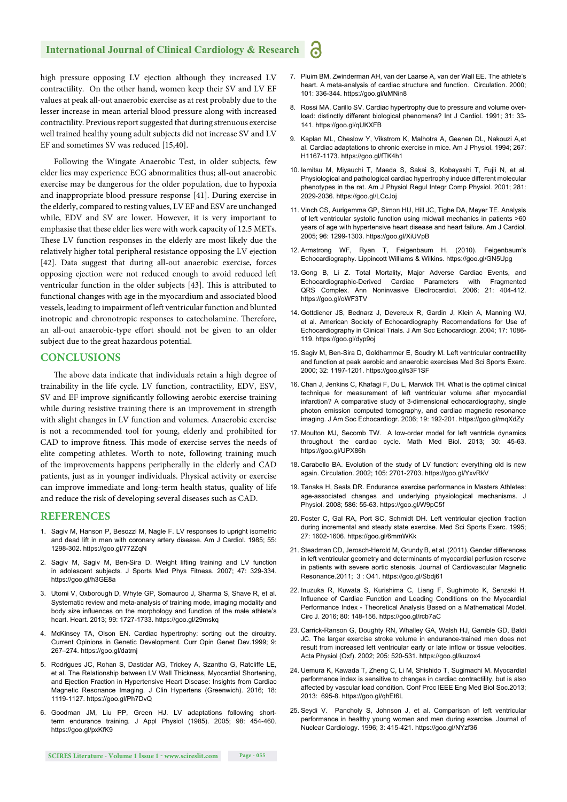#### **International Journal of Clinical Cardiology & Research**

high pressure opposing LV ejection although they increased LV contractility. On the other hand, women keep their SV and LV EF values at peak all-out anaerobic exercise as at rest probably due to the lesser increase in mean arterial blood pressure along with increased contractility. Previous report suggested that during strenuous exercise well trained healthy young adult subjects did not increase SV and LV EF and sometimes SV was reduced [15,40].

Following the Wingate Anaerobic Test, in older subjects, few elder lies may experience ECG abnormalities thus; all-out anaerobic exercise may be dangerous for the older population, due to hypoxia and inappropriate blood pressure response [41]. During exercise in the elderly, compared to resting values, LV EF and ESV are unchanged while, EDV and SV are lower. However, it is very important to emphasise that these elder lies were with work capacity of 12.5 METs. These LV function responses in the elderly are most likely due the relatively higher total peripheral resistance opposing the LV ejection [42]. Data suggest that during all-out anaerobic exercise, forces opposing ejection were not reduced enough to avoid reduced left ventricular function in the older subjects [43]. This is attributed to functional changes with age in the myocardium and associated blood vessels, leading to impairment of left ventricular function and blunted inotropic and chronotropic responses to catecholamine. Therefore, an all-out anaerobic-type effort should not be given to an older subject due to the great hazardous potential.

#### **CONCLUSIONS**

The above data indicate that individuals retain a high degree of trainability in the life cycle. LV function, contractility, EDV, ESV, SV and EF improve significantly following aerobic exercise training while during resistive training there is an improvement in strength with slight changes in LV function and volumes. Anaerobic exercise is not a recommended tool for young, elderly and prohibited for CAD to improve fitness. This mode of exercise serves the needs of elite competing athletes. Worth to note, following training much of the improvements happens peripherally in the elderly and CAD patients, just as in younger individuals. Physical activity or exercise can improve immediate and long-term health status, quality of life and reduce the risk of developing several diseases such as CAD.

#### **REFERENCES**

- 1. Sagiv M, Hanson P, Besozzi M, Nagle F. LV responses to upright isometric and dead lift in men with coronary artery disease. Am J Cardiol. 1985; 55: 1298-302. https://goo.gl/772ZqN
- 2. Sagiv M, Sagiv M, Ben-Sira D. Weight lifting training and LV function in adolescent subjects. J Sports Med Phys Fitness. 2007; 47: 329-334. https://goo.gl/h3GE8a
- 3. Utomi V, Oxborough D, Whyte GP, Somauroo J, Sharma S, Shave R, et al. Systematic review and meta-analysis of training mode, imaging modality and body size influences on the morphology and function of the male athlete's heart. Heart. 2013; 99: 1727-1733. https://goo.gl/29mskq
- 4. McKinsey TA, Olson EN. Cardiac hypertrophy: sorting out the circuitry. Current Opinions in Genetic Development. Curr Opin Genet Dev.1999; 9: 267–274. https://goo.gl/datrnj
- 5. Rodrigues JC, Rohan S, Dastidar AG, Trickey A, Szantho G, Ratcliffe LE, et al. The Relationship between LV Wall Thickness, Myocardial Shortening, and Ejection Fraction in Hypertensive Heart Disease: Insights from Cardiac Magnetic Resonance Imaging. J Clin Hypertens (Greenwich). 2016; 18: 1119-1127. https://goo.gl/Ph7DvQ
- 6. Goodman JM, Liu PP, Green HJ. LV adaptations following shortterm endurance training. J Appl Physiol (1985). 2005; 98: 454-460. https://goo.gl/pxKfK9
- 7. Pluim BM, Zwinderman AH, van der Laarse A, van der Wall EE. The athlete's heart. A meta-analysis of cardiac structure and function. Circulation. 2000; 101: 336-344. https://goo.gl/uMNin8
- 8. Rossi MA, Carillo SV. Cardiac hypertrophy due to pressure and volume overload: distinctly different biological phenomena? Int J Cardiol. 1991; 31: 33- 141. https://goo.gl/qUKXFB
- 9. Kaplan ML, Cheslow Y, Vikstrom K, Malhotra A, Geenen DL, Nakouzi A,et al. Cardiac adaptations to chronic exercise in mice. Am J Physiol. 1994; 267: H1167-1173. https://goo.gl/fTK4h1
- 10. Iemitsu M, Miyauchi T, Maeda S, Sakai S, Kobayashi T, Fujii N, et al. Physiological and pathological cardiac hypertrophy induce different molecular phenotypes in the rat. Am J Physiol Regul Integr Comp Physiol. 2001; 281: 2029-2036. https://goo.gl/LCcJoj
- 11. Vinch CS, Aurigemma GP, Simon HU, Hill JC, Tighe DA, Meyer TE. Analysis of left ventricular systolic function using midwall mechanics in patients >60 years of age with hypertensive heart disease and heart failure. Am J Cardiol. 2005; 96: 1299-1303. https://goo.gl/XiUVpB
- 12. Armstrong WF, Ryan T, Feigenbaum H. (2010). Feigenbaum's Echocardiography. Lippincott Williams & Wilkins. https://goo.gl/GN5Upg
- 13. Gong B, Li Z. Total Mortality, Major Adverse Cardiac Events, and Echocardiographic-Derived Cardiac Parameters with Fragmented QRS Complex. Ann Noninvasive Electrocardiol. 2006; 21: 404-412. https://goo.gl/oWF3TV
- 14. Gottdiener JS, Bednarz J, Devereux R, Gardin J, Klein A, Manning WJ, et al. American Society of Echocardiography Recomendations for Use of Echocardiography in Clinical Trials. J Am Soc Echocardiogr. 2004; 17: 1086- 119. https://goo.gl/dyp9oj
- 15. Sagiv M, Ben-Sira D, Goldhammer E, Soudry M. Left ventricular contractility and function at peak aerobic and anaerobic exercises Med Sci Sports Exerc. 2000; 32: 1197-1201. https://goo.gl/s3F1SF
- 16. Chan J, Jenkins C, Khafagi F, Du L, Marwick TH. What is the optimal clinical technique for measurement of left ventricular volume after myocardial infarction? A comparative study of 3-dimensional echocardiography, single photon emission computed tomography, and cardiac magnetic resonance imaging. J Am Soc Echocardiogr. 2006; 19: 192-201. https://goo.gl/mqXdZy
- 17. Moulton MJ, Secomb TW. A low-order model for left ventricle dynamics throughout the cardiac cycle. Math Med Biol. 2013; 30: 45-63. https://goo.gl/UPX86h
- 18. Carabello BA. Evolution of the study of LV function: everything old is new again. Circulation. 2002; 105: 2701-2703. https://goo.gl/YxvRkV
- 19. Tanaka H, Seals DR. Endurance exercise performance in Masters Athletes: age-associated changes and underlying physiological mechanisms. J Physiol. 2008; 586: 55-63. https://goo.gl/W9pC5f
- 20. Foster C, Gal RA, Port SC, Schmidt DH. Left ventricular ejection fraction during incremental and steady state exercise. Med Sci Sports Exerc. 1995; 27: 1602-1606. https://goo.gl/6mmWKk
- 21. Steadman CD, Jerosch-Herold M, Grundy B, et al. (2011). Gender differences in left ventricular geometry and determinants of myocardial perfusion reserve in patients with severe aortic stenosis. Journal of Cardiovascular Magnetic Resonance.2011; 3 : O41. https://goo.gl/Sbdj61
- 22. Inuzuka R, Kuwata S, Kurishima C, Liang F, Sughimoto K, Senzaki H. Influence of Cardiac Function and Loading Conditions on the Myocardial Performance Index - Theoretical Analysis Based on a Mathematical Model. Circ J. 2016; 80: 148-156. https://goo.gl/rcb7aC
- 23. Carrick-Ranson G, Doughty RN, Whalley GA, Walsh HJ, Gamble GD, Baldi JC. The larger exercise stroke volume in endurance-trained men does not result from increased left ventricular early or late inflow or tissue velocities. Acta Physiol (Oxf). 2002; 205: 520-531. https://goo.gl/kuzox4
- 24. Uemura K, Kawada T, Zheng C, Li M, Shishido T, Sugimachi M. Myocardial performance index is sensitive to changes in cardiac contractility, but is also affected by vascular load condition. Conf Proc IEEE Eng Med Biol Soc.2013; 2013: 695-8. https://goo.gl/qhEt6L
- 25. Seydi V. Pancholy S, Johnson J, et al. Comparison of left ventricular performance in healthy young women and men during exercise. Journal of Nuclear Cardiology. 1996; 3: 415-421. https://goo.gl/NYzf36